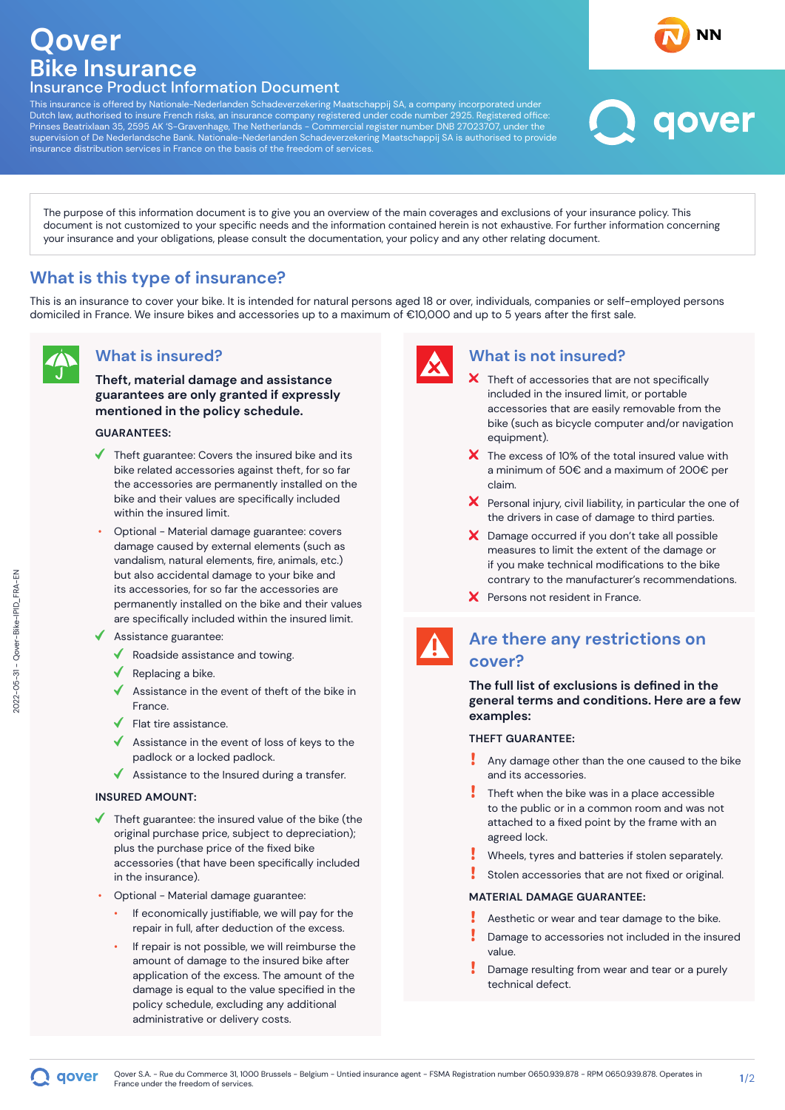# **Qover Bike Insurance** Insurance Product Information Document

This insurance is offered by Nationale-Nederlanden Schadeverzekering Maatschappij SA, a company incorporated under Dutch law, authorised to insure French risks, an insurance company registered under code number 2925. Registered office: Prinses Beatrixlaan 35, 2595 AK 'S-Gravenhage, The Netherlands - Commercial register number DNB 27023707, under the supervision of De Nederlandsche Bank. Nationale-Nederlanden Schadeverzekering Maatschappij SA is authorised to provide insurance distribution services in France on the basis of the freedom of services.

The purpose of this information document is to give you an overview of the main coverages and exclusions of your insurance policy. This document is not customized to your specific needs and the information contained herein is not exhaustive. For further information concerning your insurance and your obligations, please consult the documentation, your policy and any other relating document.

# **What is this type of insurance?**

This is an insurance to cover your bike. It is intended for natural persons aged 18 or over, individuals, companies or self-employed persons domiciled in France. We insure bikes and accessories up to a maximum of €10,000 and up to 5 years after the first sale.

## **What is insured?**

**Theft, material damage and assistance guarantees are only granted if expressly mentioned in the policy schedule.**

### **GUARANTEES:**

- $\blacklozenge$  Theft guarantee: Covers the insured bike and its bike related accessories against theft, for so far the accessories are permanently installed on the bike and their values are specifically included within the insured limit.
- Optional Material damage guarantee: covers damage caused by external elements (such as vandalism, natural elements, fire, animals, etc.) but also accidental damage to your bike and its accessories, for so far the accessories are permanently installed on the bike and their values are specifically included within the insured limit.
- $\triangleleft$  Assistance guarantee:
	- $\blacklozenge$  Roadside assistance and towing.
	- $\blacklozenge$  Replacing a bike.
	- Assistance in the event of theft of the bike in France.
	- $\blacklozenge$  Flat tire assistance.
	- Assistance in the event of loss of keys to the padlock or a locked padlock.
	- $\triangleleft$  Assistance to the Insured during a transfer.

### **INSURED AMOUNT:**

aover

- $\blacklozenge$  Theft guarantee: the insured value of the bike (the original purchase price, subject to depreciation); plus the purchase price of the fixed bike accessories (that have been specifically included in the insurance).
- Optional Material damage guarantee:
	- If economically justifiable, we will pay for the repair in full, after deduction of the excess.
	- If repair is not possible, we will reimburse the amount of damage to the insured bike after application of the excess. The amount of the damage is equal to the value specified in the policy schedule, excluding any additional administrative or delivery costs.



## **What is not insured?**

X Theft of accessories that are not specifically included in the insured limit, or portable accessories that are easily removable from the bike (such as bicycle computer and/or navigation equipment).

aover

- $\boldsymbol{\times}$  The excess of 10% of the total insured value with a minimum of 50€ and a maximum of 200€ per claim.
- $\boldsymbol{X}$  Personal injury, civil liability, in particular the one of the drivers in case of damage to third parties.
- X Damage occurred if you don't take all possible measures to limit the extent of the damage or if you make technical modifications to the bike contrary to the manufacturer's recommendations.
- X Persons not resident in France.



## **Are there any restrictions on cover?**

**The full list of exclusions is defined in the general terms and conditions. Here are a few examples:**

### **THEFT GUARANTEE:**

- Any damage other than the one caused to the bike and its accessories.
- Theft when the bike was in a place accessible to the public or in a common room and was not attached to a fixed point by the frame with an agreed lock.
- Wheels, tyres and batteries if stolen separately.
- Stolen accessories that are not fixed or original.

#### **MATERIAL DAMAGE GUARANTEE:**

- Aesthetic or wear and tear damage to the bike.
- Damage to accessories not included in the insured value.
- Damage resulting from wear and tear or a purely technical defect.